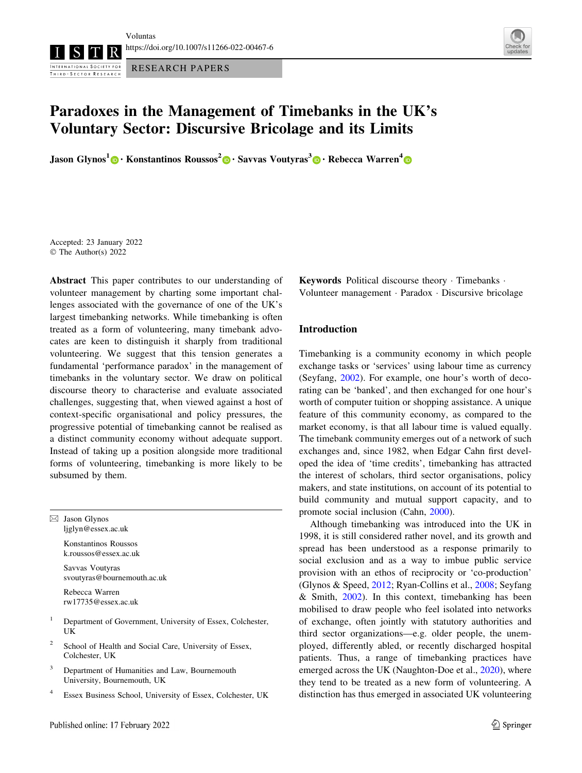<https://doi.org/10.1007/s11266-022-00467-6>

INTERNATIONAL SOCIETY FOR RESEARCH PAPERS THIRD - SECTOR RESEARCH



# Paradoxes in the Management of Timebanks in the UK's Voluntary Sector: Discursive Bricolage and its Limits

Jason Glynos<sup>1</sup> [•](https://orcid.org/0000-0001-6602-9824) Konstantinos Roussos<sup>2</sup> • Savvas Voutyras<sup>3</sup> • Rebecca Warren<sup>4</sup> •

Accepted: 23 January 2022 © The Author(s) 2022

Abstract This paper contributes to our understanding of volunteer management by charting some important challenges associated with the governance of one of the UK's largest timebanking networks. While timebanking is often treated as a form of volunteering, many timebank advocates are keen to distinguish it sharply from traditional volunteering. We suggest that this tension generates a fundamental 'performance paradox' in the management of timebanks in the voluntary sector. We draw on political discourse theory to characterise and evaluate associated challenges, suggesting that, when viewed against a host of context-specific organisational and policy pressures, the progressive potential of timebanking cannot be realised as a distinct community economy without adequate support. Instead of taking up a position alongside more traditional forms of volunteering, timebanking is more likely to be subsumed by them.

 $\boxtimes$  Jason Glynos ljglyn@essex.ac.uk

> Konstantinos Roussos k.roussos@essex.ac.uk

Savvas Voutyras svoutyras@bournemouth.ac.uk

Rebecca Warren rw17735@essex.ac.uk

- <sup>1</sup> Department of Government, University of Essex, Colchester, UK
- School of Health and Social Care, University of Essex, Colchester, UK
- <sup>3</sup> Department of Humanities and Law, Bournemouth University, Bournemouth, UK
- <sup>4</sup> Essex Business School, University of Essex, Colchester, UK

Keywords Political discourse theory - Timebanks - Volunteer management - Paradox - Discursive bricolage

## Introduction

Timebanking is a community economy in which people exchange tasks or 'services' using labour time as currency (Seyfang, [2002](#page-10-0)). For example, one hour's worth of decorating can be 'banked', and then exchanged for one hour's worth of computer tuition or shopping assistance. A unique feature of this community economy, as compared to the market economy, is that all labour time is valued equally. The timebank community emerges out of a network of such exchanges and, since 1982, when Edgar Cahn first developed the idea of 'time credits', timebanking has attracted the interest of scholars, third sector organisations, policy makers, and state institutions, on account of its potential to build community and mutual support capacity, and to promote social inclusion (Cahn, [2000\)](#page-9-0).

Although timebanking was introduced into the UK in 1998, it is still considered rather novel, and its growth and spread has been understood as a response primarily to social exclusion and as a way to imbue public service provision with an ethos of reciprocity or 'co-production' (Glynos & Speed, [2012](#page-9-0); Ryan-Collins et al., [2008](#page-10-0); Seyfang & Smith, [2002\)](#page-10-0). In this context, timebanking has been mobilised to draw people who feel isolated into networks of exchange, often jointly with statutory authorities and third sector organizations—e.g. older people, the unemployed, differently abled, or recently discharged hospital patients. Thus, a range of timebanking practices have emerged across the UK (Naughton-Doe et al., [2020\)](#page-9-0), where they tend to be treated as a new form of volunteering. A distinction has thus emerged in associated UK volunteering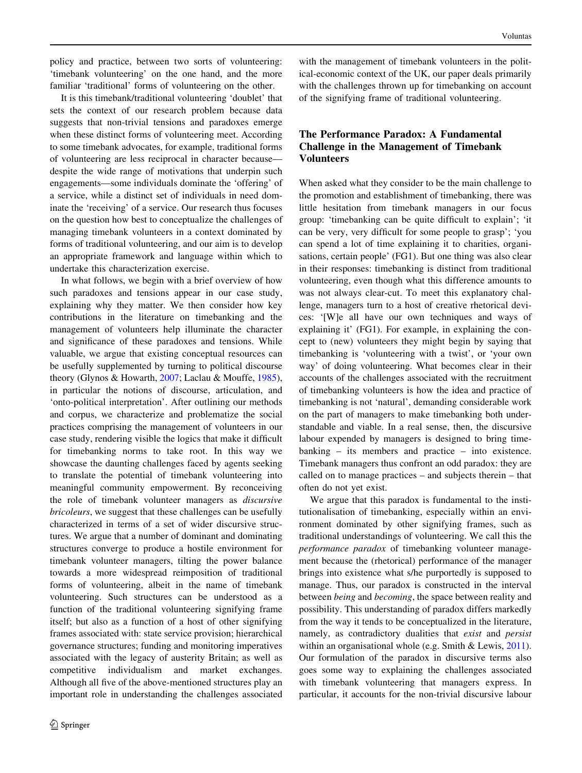policy and practice, between two sorts of volunteering: 'timebank volunteering' on the one hand, and the more familiar 'traditional' forms of volunteering on the other.

It is this timebank/traditional volunteering 'doublet' that sets the context of our research problem because data suggests that non-trivial tensions and paradoxes emerge when these distinct forms of volunteering meet. According to some timebank advocates, for example, traditional forms of volunteering are less reciprocal in character because despite the wide range of motivations that underpin such engagements—some individuals dominate the 'offering' of a service, while a distinct set of individuals in need dominate the 'receiving' of a service. Our research thus focuses on the question how best to conceptualize the challenges of managing timebank volunteers in a context dominated by forms of traditional volunteering, and our aim is to develop an appropriate framework and language within which to undertake this characterization exercise.

In what follows, we begin with a brief overview of how such paradoxes and tensions appear in our case study, explaining why they matter. We then consider how key contributions in the literature on timebanking and the management of volunteers help illuminate the character and significance of these paradoxes and tensions. While valuable, we argue that existing conceptual resources can be usefully supplemented by turning to political discourse theory (Glynos & Howarth, [2007](#page-9-0); Laclau & Mouffe, [1985](#page-9-0)), in particular the notions of discourse, articulation, and 'onto-political interpretation'. After outlining our methods and corpus, we characterize and problematize the social practices comprising the management of volunteers in our case study, rendering visible the logics that make it difficult for timebanking norms to take root. In this way we showcase the daunting challenges faced by agents seeking to translate the potential of timebank volunteering into meaningful community empowerment. By reconceiving the role of timebank volunteer managers as discursive bricoleurs, we suggest that these challenges can be usefully characterized in terms of a set of wider discursive structures. We argue that a number of dominant and dominating structures converge to produce a hostile environment for timebank volunteer managers, tilting the power balance towards a more widespread reimposition of traditional forms of volunteering, albeit in the name of timebank volunteering. Such structures can be understood as a function of the traditional volunteering signifying frame itself; but also as a function of a host of other signifying frames associated with: state service provision; hierarchical governance structures; funding and monitoring imperatives associated with the legacy of austerity Britain; as well as competitive individualism and market exchanges. Although all five of the above-mentioned structures play an important role in understanding the challenges associated

with the management of timebank volunteers in the political-economic context of the UK, our paper deals primarily with the challenges thrown up for timebanking on account of the signifying frame of traditional volunteering.

# The Performance Paradox: A Fundamental Challenge in the Management of Timebank Volunteers

When asked what they consider to be the main challenge to the promotion and establishment of timebanking, there was little hesitation from timebank managers in our focus group: 'timebanking can be quite difficult to explain'; 'it can be very, very difficult for some people to grasp'; 'you can spend a lot of time explaining it to charities, organisations, certain people' (FG1). But one thing was also clear in their responses: timebanking is distinct from traditional volunteering, even though what this difference amounts to was not always clear-cut. To meet this explanatory challenge, managers turn to a host of creative rhetorical devices: '[W]e all have our own techniques and ways of explaining it' (FG1). For example, in explaining the concept to (new) volunteers they might begin by saying that timebanking is 'volunteering with a twist', or 'your own way' of doing volunteering. What becomes clear in their accounts of the challenges associated with the recruitment of timebanking volunteers is how the idea and practice of timebanking is not 'natural', demanding considerable work on the part of managers to make timebanking both understandable and viable. In a real sense, then, the discursive labour expended by managers is designed to bring timebanking – its members and practice – into existence. Timebank managers thus confront an odd paradox: they are called on to manage practices – and subjects therein – that often do not yet exist.

We argue that this paradox is fundamental to the institutionalisation of timebanking, especially within an environment dominated by other signifying frames, such as traditional understandings of volunteering. We call this the performance paradox of timebanking volunteer management because the (rhetorical) performance of the manager brings into existence what s/he purportedly is supposed to manage. Thus, our paradox is constructed in the interval between being and becoming, the space between reality and possibility. This understanding of paradox differs markedly from the way it tends to be conceptualized in the literature, namely, as contradictory dualities that exist and persist within an organisational whole (e.g. Smith & Lewis, [2011](#page-10-0)). Our formulation of the paradox in discursive terms also goes some way to explaining the challenges associated with timebank volunteering that managers express. In particular, it accounts for the non-trivial discursive labour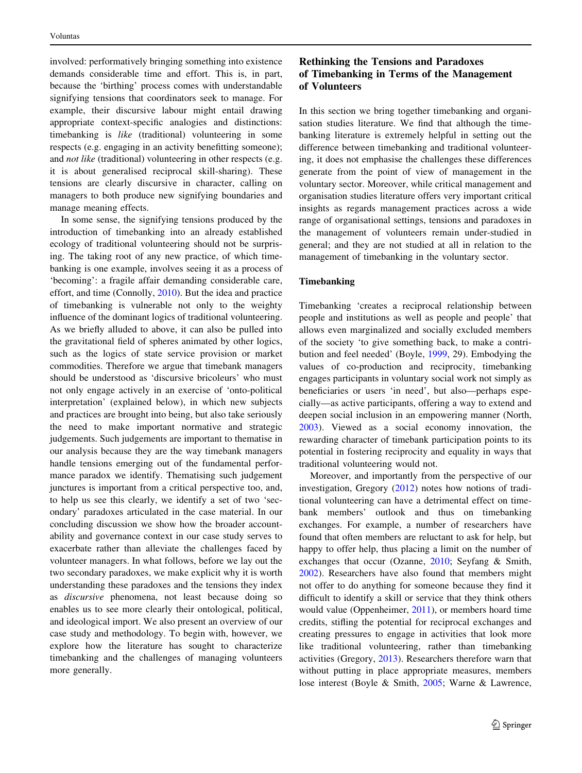<span id="page-2-0"></span>involved: performatively bringing something into existence demands considerable time and effort. This is, in part, because the 'birthing' process comes with understandable signifying tensions that coordinators seek to manage. For example, their discursive labour might entail drawing appropriate context-specific analogies and distinctions: timebanking is *like* (traditional) volunteering in some respects (e.g. engaging in an activity benefitting someone); and *not like* (traditional) volunteering in other respects (e.g. it is about generalised reciprocal skill-sharing). These tensions are clearly discursive in character, calling on managers to both produce new signifying boundaries and manage meaning effects.

In some sense, the signifying tensions produced by the introduction of timebanking into an already established ecology of traditional volunteering should not be surprising. The taking root of any new practice, of which timebanking is one example, involves seeing it as a process of 'becoming': a fragile affair demanding considerable care, effort, and time (Connolly, [2010](#page-9-0)). But the idea and practice of timebanking is vulnerable not only to the weighty influence of the dominant logics of traditional volunteering. As we briefly alluded to above, it can also be pulled into the gravitational field of spheres animated by other logics, such as the logics of state service provision or market commodities. Therefore we argue that timebank managers should be understood as 'discursive bricoleurs' who must not only engage actively in an exercise of 'onto-political interpretation' (explained below), in which new subjects and practices are brought into being, but also take seriously the need to make important normative and strategic judgements. Such judgements are important to thematise in our analysis because they are the way timebank managers handle tensions emerging out of the fundamental performance paradox we identify. Thematising such judgement junctures is important from a critical perspective too, and, to help us see this clearly, we identify a set of two 'secondary' paradoxes articulated in the case material. In our concluding discussion we show how the broader accountability and governance context in our case study serves to exacerbate rather than alleviate the challenges faced by volunteer managers. In what follows, before we lay out the two secondary paradoxes, we make explicit why it is worth understanding these paradoxes and the tensions they index as discursive phenomena, not least because doing so enables us to see more clearly their ontological, political, and ideological import. We also present an overview of our case study and methodology. To begin with, however, we explore how the literature has sought to characterize timebanking and the challenges of managing volunteers more generally.

# Rethinking the Tensions and Paradoxes of Timebanking in Terms of the Management of Volunteers

In this section we bring together timebanking and organisation studies literature. We find that although the timebanking literature is extremely helpful in setting out the difference between timebanking and traditional volunteering, it does not emphasise the challenges these differences generate from the point of view of management in the voluntary sector. Moreover, while critical management and organisation studies literature offers very important critical insights as regards management practices across a wide range of organisational settings, tensions and paradoxes in the management of volunteers remain under-studied in general; and they are not studied at all in relation to the management of timebanking in the voluntary sector.

#### Timebanking

Timebanking 'creates a reciprocal relationship between people and institutions as well as people and people' that allows even marginalized and socially excluded members of the society 'to give something back, to make a contribution and feel needed' (Boyle, [1999,](#page-9-0) 29). Embodying the values of co-production and reciprocity, timebanking engages participants in voluntary social work not simply as beneficiaries or users 'in need', but also—perhaps especially—as active participants, offering a way to extend and deepen social inclusion in an empowering manner (North, [2003](#page-9-0)). Viewed as a social economy innovation, the rewarding character of timebank participation points to its potential in fostering reciprocity and equality in ways that traditional volunteering would not.

Moreover, and importantly from the perspective of our investigation, Gregory ([2012](#page-9-0)) notes how notions of traditional volunteering can have a detrimental effect on timebank members' outlook and thus on timebanking exchanges. For example, a number of researchers have found that often members are reluctant to ask for help, but happy to offer help, thus placing a limit on the number of exchanges that occur (Ozanne, [2010](#page-10-0); Seyfang & Smith, [2002](#page-10-0)). Researchers have also found that members might not offer to do anything for someone because they find it difficult to identify a skill or service that they think others would value (Oppenheimer, [2011\)](#page-10-0), or members hoard time credits, stifling the potential for reciprocal exchanges and creating pressures to engage in activities that look more like traditional volunteering, rather than timebanking activities (Gregory, [2013](#page-9-0)). Researchers therefore warn that without putting in place appropriate measures, members lose interest (Boyle & Smith, [2005](#page-9-0); Warne & Lawrence,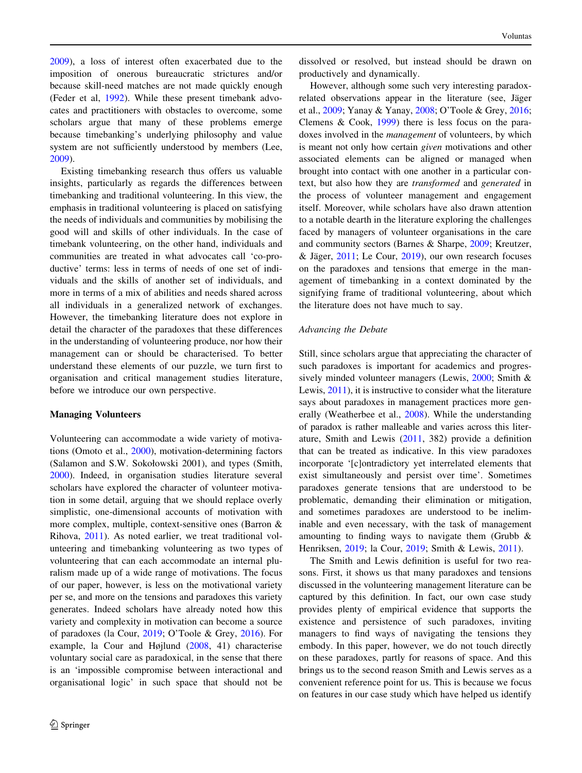[2009\)](#page-10-0), a loss of interest often exacerbated due to the imposition of onerous bureaucratic strictures and/or because skill-need matches are not made quickly enough (Feder et al, [1992](#page-9-0)). While these present timebank advocates and practitioners with obstacles to overcome, some scholars argue that many of these problems emerge because timebanking's underlying philosophy and value system are not sufficiently understood by members (Lee, [2009\)](#page-9-0).

Existing timebanking research thus offers us valuable insights, particularly as regards the differences between timebanking and traditional volunteering. In this view, the emphasis in traditional volunteering is placed on satisfying the needs of individuals and communities by mobilising the good will and skills of other individuals. In the case of timebank volunteering, on the other hand, individuals and communities are treated in what advocates call 'co-productive' terms: less in terms of needs of one set of individuals and the skills of another set of individuals, and more in terms of a mix of abilities and needs shared across all individuals in a generalized network of exchanges. However, the timebanking literature does not explore in detail the character of the paradoxes that these differences in the understanding of volunteering produce, nor how their management can or should be characterised. To better understand these elements of our puzzle, we turn first to organisation and critical management studies literature, before we introduce our own perspective.

#### Managing Volunteers

Volunteering can accommodate a wide variety of motivations (Omoto et al., [2000](#page-10-0)), motivation-determining factors (Salamon and S.W. Sokołowski 2001), and types (Smith, [2000\)](#page-10-0). Indeed, in organisation studies literature several scholars have explored the character of volunteer motivation in some detail, arguing that we should replace overly simplistic, one-dimensional accounts of motivation with more complex, multiple, context-sensitive ones (Barron & Rihova, [2011](#page-9-0)). As noted earlier, we treat traditional volunteering and timebanking volunteering as two types of volunteering that can each accommodate an internal pluralism made up of a wide range of motivations. The focus of our paper, however, is less on the motivational variety per se, and more on the tensions and paradoxes this variety generates. Indeed scholars have already noted how this variety and complexity in motivation can become a source of paradoxes (la Cour, [2019](#page-9-0); O'Toole & Grey, [2016](#page-9-0)). For example, la Cour and Højlund ([2008,](#page-9-0) 41) characterise voluntary social care as paradoxical, in the sense that there is an 'impossible compromise between interactional and organisational logic' in such space that should not be

dissolved or resolved, but instead should be drawn on productively and dynamically.

However, although some such very interesting paradoxrelated observations appear in the literature (see, Jäger et al., [2009](#page-9-0); Yanay & Yanay, [2008](#page-10-0); O'Toole & Grey, [2016](#page-9-0); Clemens & Cook, [1999\)](#page-9-0) there is less focus on the paradoxes involved in the management of volunteers, by which is meant not only how certain given motivations and other associated elements can be aligned or managed when brought into contact with one another in a particular context, but also how they are transformed and generated in the process of volunteer management and engagement itself. Moreover, while scholars have also drawn attention to a notable dearth in the literature exploring the challenges faced by managers of volunteer organisations in the care and community sectors (Barnes & Sharpe, [2009;](#page-9-0) Kreutzer, & Jäger,  $2011$ ; Le Cour,  $2019$ ), our own research focuses on the paradoxes and tensions that emerge in the management of timebanking in a context dominated by the signifying frame of traditional volunteering, about which the literature does not have much to say.

#### Advancing the Debate

Still, since scholars argue that appreciating the character of such paradoxes is important for academics and progressively minded volunteer managers (Lewis, [2000](#page-9-0); Smith & Lewis, [2011](#page-10-0)), it is instructive to consider what the literature says about paradoxes in management practices more generally (Weatherbee et al., [2008](#page-10-0)). While the understanding of paradox is rather malleable and varies across this literature, Smith and Lewis [\(2011](#page-10-0), 382) provide a definition that can be treated as indicative. In this view paradoxes incorporate '[c]ontradictory yet interrelated elements that exist simultaneously and persist over time'. Sometimes paradoxes generate tensions that are understood to be problematic, demanding their elimination or mitigation, and sometimes paradoxes are understood to be ineliminable and even necessary, with the task of management amounting to finding ways to navigate them (Grubb & Henriksen, [2019;](#page-9-0) la Cour, [2019](#page-9-0); Smith & Lewis, [2011](#page-10-0)).

The Smith and Lewis definition is useful for two reasons. First, it shows us that many paradoxes and tensions discussed in the volunteering management literature can be captured by this definition. In fact, our own case study provides plenty of empirical evidence that supports the existence and persistence of such paradoxes, inviting managers to find ways of navigating the tensions they embody. In this paper, however, we do not touch directly on these paradoxes, partly for reasons of space. And this brings us to the second reason Smith and Lewis serves as a convenient reference point for us. This is because we focus on features in our case study which have helped us identify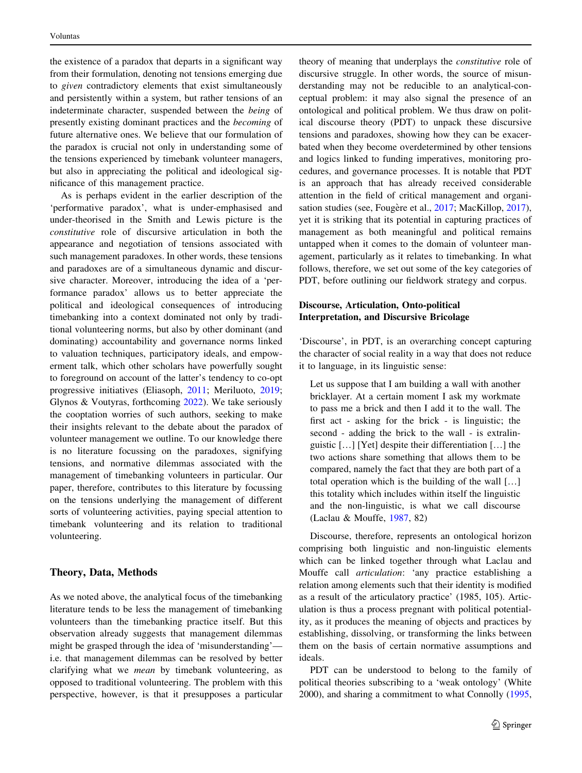the existence of a paradox that departs in a significant way from their formulation, denoting not tensions emerging due to given contradictory elements that exist simultaneously and persistently within a system, but rather tensions of an indeterminate character, suspended between the being of presently existing dominant practices and the becoming of future alternative ones. We believe that our formulation of the paradox is crucial not only in understanding some of the tensions experienced by timebank volunteer managers, but also in appreciating the political and ideological significance of this management practice.

As is perhaps evident in the earlier description of the 'performative paradox', what is under-emphasised and under-theorised in the Smith and Lewis picture is the constitutive role of discursive articulation in both the appearance and negotiation of tensions associated with such management paradoxes. In other words, these tensions and paradoxes are of a simultaneous dynamic and discursive character. Moreover, introducing the idea of a 'performance paradox' allows us to better appreciate the political and ideological consequences of introducing timebanking into a context dominated not only by traditional volunteering norms, but also by other dominant (and dominating) accountability and governance norms linked to valuation techniques, participatory ideals, and empowerment talk, which other scholars have powerfully sought to foreground on account of the latter's tendency to co-opt progressive initiatives (Eliasoph, [2011;](#page-9-0) Meriluoto, [2019](#page-9-0); Glynos & Voutyras, forthcoming [2022\)](#page-9-0). We take seriously the cooptation worries of such authors, seeking to make their insights relevant to the debate about the paradox of volunteer management we outline. To our knowledge there is no literature focussing on the paradoxes, signifying tensions, and normative dilemmas associated with the management of timebanking volunteers in particular. Our paper, therefore, contributes to this literature by focussing on the tensions underlying the management of different sorts of volunteering activities, paying special attention to timebank volunteering and its relation to traditional volunteering.

#### Theory, Data, Methods

As we noted above, the analytical focus of the timebanking literature tends to be less the management of timebanking volunteers than the timebanking practice itself. But this observation already suggests that management dilemmas might be grasped through the idea of 'misunderstanding' i.e. that management dilemmas can be resolved by better clarifying what we mean by timebank volunteering, as opposed to traditional volunteering. The problem with this perspective, however, is that it presupposes a particular

theory of meaning that underplays the constitutive role of discursive struggle. In other words, the source of misunderstanding may not be reducible to an analytical-conceptual problem: it may also signal the presence of an ontological and political problem. We thus draw on political discourse theory (PDT) to unpack these discursive tensions and paradoxes, showing how they can be exacerbated when they become overdetermined by other tensions and logics linked to funding imperatives, monitoring procedures, and governance processes. It is notable that PDT is an approach that has already received considerable attention in the field of critical management and organi-sation studies (see, Fougère et al., [2017;](#page-9-0) MacKillop, [2017](#page-9-0)), yet it is striking that its potential in capturing practices of management as both meaningful and political remains untapped when it comes to the domain of volunteer management, particularly as it relates to timebanking. In what follows, therefore, we set out some of the key categories of PDT, before outlining our fieldwork strategy and corpus.

## Discourse, Articulation, Onto-political Interpretation, and Discursive Bricolage

'Discourse', in PDT, is an overarching concept capturing the character of social reality in a way that does not reduce it to language, in its linguistic sense:

Let us suppose that I am building a wall with another bricklayer. At a certain moment I ask my workmate to pass me a brick and then I add it to the wall. The first act - asking for the brick - is linguistic; the second - adding the brick to the wall - is extralinguistic […] [Yet] despite their differentiation […] the two actions share something that allows them to be compared, namely the fact that they are both part of a total operation which is the building of the wall […] this totality which includes within itself the linguistic and the non-linguistic, is what we call discourse (Laclau & Mouffe, [1987](#page-9-0), 82)

Discourse, therefore, represents an ontological horizon comprising both linguistic and non-linguistic elements which can be linked together through what Laclau and Mouffe call articulation: 'any practice establishing a relation among elements such that their identity is modified as a result of the articulatory practice' (1985, 105). Articulation is thus a process pregnant with political potentiality, as it produces the meaning of objects and practices by establishing, dissolving, or transforming the links between them on the basis of certain normative assumptions and ideals.

PDT can be understood to belong to the family of political theories subscribing to a 'weak ontology' (White 2000), and sharing a commitment to what Connolly ([1995,](#page-9-0)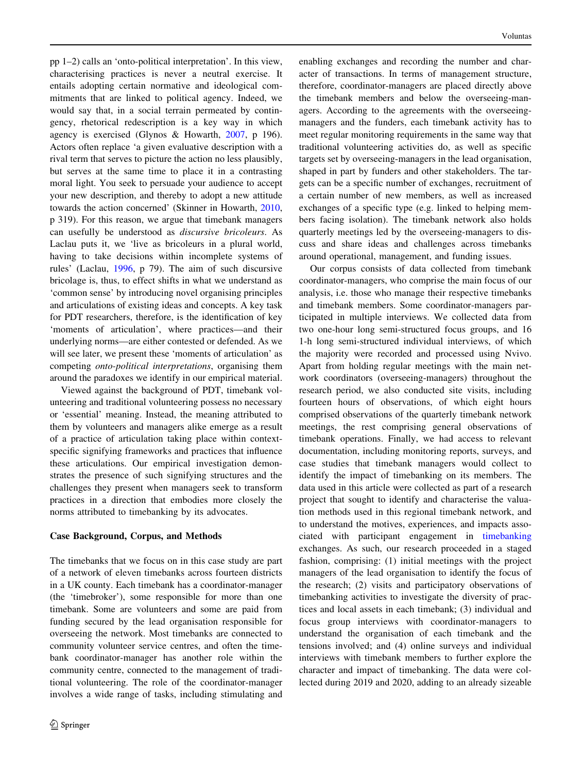pp 1–2) calls an 'onto-political interpretation'. In this view, characterising practices is never a neutral exercise. It entails adopting certain normative and ideological commitments that are linked to political agency. Indeed, we would say that, in a social terrain permeated by contingency, rhetorical redescription is a key way in which agency is exercised (Glynos & Howarth, [2007,](#page-9-0) p 196). Actors often replace 'a given evaluative description with a rival term that serves to picture the action no less plausibly, but serves at the same time to place it in a contrasting moral light. You seek to persuade your audience to accept your new description, and thereby to adopt a new attitude towards the action concerned' (Skinner in Howarth, [2010,](#page-9-0) p 319). For this reason, we argue that timebank managers can usefully be understood as discursive bricoleurs. As Laclau puts it, we 'live as bricoleurs in a plural world, having to take decisions within incomplete systems of rules' (Laclau, [1996](#page-9-0), p 79). The aim of such discursive bricolage is, thus, to effect shifts in what we understand as 'common sense' by introducing novel organising principles and articulations of existing ideas and concepts. A key task for PDT researchers, therefore, is the identification of key 'moments of articulation', where practices—and their underlying norms—are either contested or defended. As we will see later, we present these 'moments of articulation' as competing onto-political interpretations, organising them around the paradoxes we identify in our empirical material.

Viewed against the background of PDT, timebank volunteering and traditional volunteering possess no necessary or 'essential' meaning. Instead, the meaning attributed to them by volunteers and managers alike emerge as a result of a practice of articulation taking place within contextspecific signifying frameworks and practices that influence these articulations. Our empirical investigation demonstrates the presence of such signifying structures and the challenges they present when managers seek to transform practices in a direction that embodies more closely the norms attributed to timebanking by its advocates.

### Case Background, Corpus, and Methods

The timebanks that we focus on in this case study are part of a network of eleven timebanks across fourteen districts in a UK county. Each timebank has a coordinator-manager (the 'timebroker'), some responsible for more than one timebank. Some are volunteers and some are paid from funding secured by the lead organisation responsible for overseeing the network. Most timebanks are connected to community volunteer service centres, and often the timebank coordinator-manager has another role within the community centre, connected to the management of traditional volunteering. The role of the coordinator-manager involves a wide range of tasks, including stimulating and enabling exchanges and recording the number and character of transactions. In terms of management structure, therefore, coordinator-managers are placed directly above the timebank members and below the overseeing-managers. According to the agreements with the overseeingmanagers and the funders, each timebank activity has to meet regular monitoring requirements in the same way that traditional volunteering activities do, as well as specific targets set by overseeing-managers in the lead organisation, shaped in part by funders and other stakeholders. The targets can be a specific number of exchanges, recruitment of a certain number of new members, as well as increased exchanges of a specific type (e.g. linked to helping members facing isolation). The timebank network also holds quarterly meetings led by the overseeing-managers to discuss and share ideas and challenges across timebanks around operational, management, and funding issues.

Our corpus consists of data collected from timebank coordinator-managers, who comprise the main focus of our analysis, i.e. those who manage their respective timebanks and timebank members. Some coordinator-managers participated in multiple interviews. We collected data from two one-hour long semi-structured focus groups, and 16 1-h long semi-structured individual interviews, of which the majority were recorded and processed using Nvivo. Apart from holding regular meetings with the main network coordinators (overseeing-managers) throughout the research period, we also conducted site visits, including fourteen hours of observations, of which eight hours comprised observations of the quarterly timebank network meetings, the rest comprising general observations of timebank operations. Finally, we had access to relevant documentation, including monitoring reports, surveys, and case studies that timebank managers would collect to identify the impact of timebanking on its members. The data used in this article were collected as part of a research project that sought to identify and characterise the valuation methods used in this regional timebank network, and to understand the motives, experiences, and impacts associated with participant engagement in [timebanking](#page-2-0) exchanges. As such, our research proceeded in a staged fashion, comprising: (1) initial meetings with the project managers of the lead organisation to identify the focus of the research; (2) visits and participatory observations of timebanking activities to investigate the diversity of practices and local assets in each timebank; (3) individual and focus group interviews with coordinator-managers to understand the organisation of each timebank and the tensions involved; and (4) online surveys and individual interviews with timebank members to further explore the character and impact of timebanking. The data were collected during 2019 and 2020, adding to an already sizeable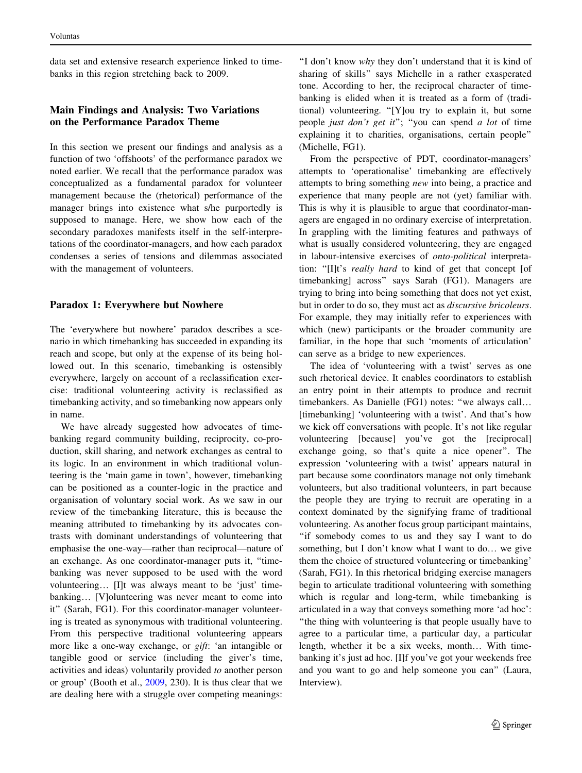data set and extensive research experience linked to timebanks in this region stretching back to 2009.

## Main Findings and Analysis: Two Variations on the Performance Paradox Theme

In this section we present our findings and analysis as a function of two 'offshoots' of the performance paradox we noted earlier. We recall that the performance paradox was conceptualized as a fundamental paradox for volunteer management because the (rhetorical) performance of the manager brings into existence what s/he purportedly is supposed to manage. Here, we show how each of the secondary paradoxes manifests itself in the self-interpretations of the coordinator-managers, and how each paradox condenses a series of tensions and dilemmas associated with the management of volunteers.

# Paradox 1: Everywhere but Nowhere

The 'everywhere but nowhere' paradox describes a scenario in which timebanking has succeeded in expanding its reach and scope, but only at the expense of its being hollowed out. In this scenario, timebanking is ostensibly everywhere, largely on account of a reclassification exercise: traditional volunteering activity is reclassified as timebanking activity, and so timebanking now appears only in name.

We have already suggested how advocates of timebanking regard community building, reciprocity, co-production, skill sharing, and network exchanges as central to its logic. In an environment in which traditional volunteering is the 'main game in town', however, timebanking can be positioned as a counter-logic in the practice and organisation of voluntary social work. As we saw in our review of the timebanking literature, this is because the meaning attributed to timebanking by its advocates contrasts with dominant understandings of volunteering that emphasise the one-way—rather than reciprocal—nature of an exchange. As one coordinator-manager puts it, ''timebanking was never supposed to be used with the word volunteering… [I]t was always meant to be 'just' timebanking… [V]olunteering was never meant to come into it'' (Sarah, FG1). For this coordinator-manager volunteering is treated as synonymous with traditional volunteering. From this perspective traditional volunteering appears more like a one-way exchange, or *gift*: 'an intangible or tangible good or service (including the giver's time, activities and ideas) voluntarily provided to another person or group' (Booth et al., [2009,](#page-9-0) 230). It is thus clear that we are dealing here with a struggle over competing meanings:

''I don't know why they don't understand that it is kind of sharing of skills'' says Michelle in a rather exasperated tone. According to her, the reciprocal character of timebanking is elided when it is treated as a form of (traditional) volunteering. ''[Y]ou try to explain it, but some people just don't get it"; "you can spend a lot of time explaining it to charities, organisations, certain people'' (Michelle, FG1).

From the perspective of PDT, coordinator-managers' attempts to 'operationalise' timebanking are effectively attempts to bring something new into being, a practice and experience that many people are not (yet) familiar with. This is why it is plausible to argue that coordinator-managers are engaged in no ordinary exercise of interpretation. In grappling with the limiting features and pathways of what is usually considered volunteering, they are engaged in labour-intensive exercises of onto-political interpretation: "[I]t's really hard to kind of get that concept [of timebanking] across'' says Sarah (FG1). Managers are trying to bring into being something that does not yet exist, but in order to do so, they must act as discursive bricoleurs. For example, they may initially refer to experiences with which (new) participants or the broader community are familiar, in the hope that such 'moments of articulation' can serve as a bridge to new experiences.

The idea of 'volunteering with a twist' serves as one such rhetorical device. It enables coordinators to establish an entry point in their attempts to produce and recruit timebankers. As Danielle (FG1) notes: "we always call... [timebanking] 'volunteering with a twist'. And that's how we kick off conversations with people. It's not like regular volunteering [because] you've got the [reciprocal] exchange going, so that's quite a nice opener''. The expression 'volunteering with a twist' appears natural in part because some coordinators manage not only timebank volunteers, but also traditional volunteers, in part because the people they are trying to recruit are operating in a context dominated by the signifying frame of traditional volunteering. As another focus group participant maintains, ''if somebody comes to us and they say I want to do something, but I don't know what I want to do… we give them the choice of structured volunteering or timebanking' (Sarah, FG1). In this rhetorical bridging exercise managers begin to articulate traditional volunteering with something which is regular and long-term, while timebanking is articulated in a way that conveys something more 'ad hoc': ''the thing with volunteering is that people usually have to agree to a particular time, a particular day, a particular length, whether it be a six weeks, month… With timebanking it's just ad hoc. [I]f you've got your weekends free and you want to go and help someone you can'' (Laura, Interview).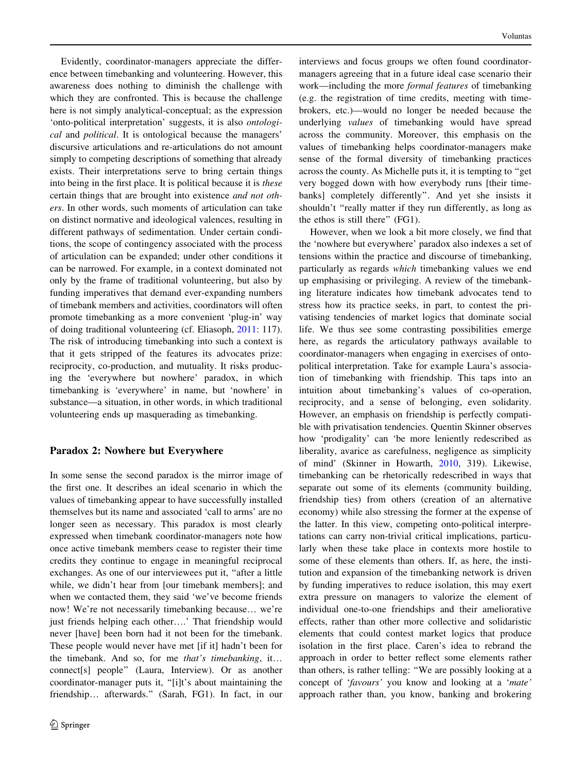Evidently, coordinator-managers appreciate the difference between timebanking and volunteering. However, this awareness does nothing to diminish the challenge with which they are confronted. This is because the challenge here is not simply analytical-conceptual; as the expression 'onto-political interpretation' suggests, it is also ontological and political. It is ontological because the managers' discursive articulations and re-articulations do not amount simply to competing descriptions of something that already exists. Their interpretations serve to bring certain things into being in the first place. It is political because it is these certain things that are brought into existence and not others. In other words, such moments of articulation can take on distinct normative and ideological valences, resulting in different pathways of sedimentation. Under certain conditions, the scope of contingency associated with the process of articulation can be expanded; under other conditions it can be narrowed. For example, in a context dominated not only by the frame of traditional volunteering, but also by funding imperatives that demand ever-expanding numbers of timebank members and activities, coordinators will often promote timebanking as a more convenient 'plug-in' way of doing traditional volunteering (cf. Eliasoph, [2011:](#page-9-0) 117). The risk of introducing timebanking into such a context is that it gets stripped of the features its advocates prize: reciprocity, co-production, and mutuality. It risks producing the 'everywhere but nowhere' paradox, in which timebanking is 'everywhere' in name, but 'nowhere' in substance—a situation, in other words, in which traditional volunteering ends up masquerading as timebanking.

## Paradox 2: Nowhere but Everywhere

In some sense the second paradox is the mirror image of the first one. It describes an ideal scenario in which the values of timebanking appear to have successfully installed themselves but its name and associated 'call to arms' are no longer seen as necessary. This paradox is most clearly expressed when timebank coordinator-managers note how once active timebank members cease to register their time credits they continue to engage in meaningful reciprocal exchanges. As one of our interviewees put it, ''after a little while, we didn't hear from [our timebank members]; and when we contacted them, they said 'we've become friends now! We're not necessarily timebanking because… we're just friends helping each other….' That friendship would never [have] been born had it not been for the timebank. These people would never have met [if it] hadn't been for the timebank. And so, for me that's timebanking, it… connect[s] people'' (Laura, Interview). Or as another coordinator-manager puts it, ''[i]t's about maintaining the friendship… afterwards.'' (Sarah, FG1). In fact, in our interviews and focus groups we often found coordinatormanagers agreeing that in a future ideal case scenario their work—including the more formal features of timebanking (e.g. the registration of time credits, meeting with timebrokers, etc.)—would no longer be needed because the underlying values of timebanking would have spread across the community. Moreover, this emphasis on the values of timebanking helps coordinator-managers make sense of the formal diversity of timebanking practices across the county. As Michelle puts it, it is tempting to ''get very bogged down with how everybody runs [their timebanks] completely differently''. And yet she insists it shouldn't "really matter if they run differently, as long as the ethos is still there'' (FG1).

However, when we look a bit more closely, we find that the 'nowhere but everywhere' paradox also indexes a set of tensions within the practice and discourse of timebanking, particularly as regards which timebanking values we end up emphasising or privileging. A review of the timebanking literature indicates how timebank advocates tend to stress how its practice seeks, in part, to contest the privatising tendencies of market logics that dominate social life. We thus see some contrasting possibilities emerge here, as regards the articulatory pathways available to coordinator-managers when engaging in exercises of ontopolitical interpretation. Take for example Laura's association of timebanking with friendship. This taps into an intuition about timebanking's values of co-operation, reciprocity, and a sense of belonging, even solidarity. However, an emphasis on friendship is perfectly compatible with privatisation tendencies. Quentin Skinner observes how 'prodigality' can 'be more leniently redescribed as liberality, avarice as carefulness, negligence as simplicity of mind' (Skinner in Howarth, [2010](#page-9-0), 319). Likewise, timebanking can be rhetorically redescribed in ways that separate out some of its elements (community building, friendship ties) from others (creation of an alternative economy) while also stressing the former at the expense of the latter. In this view, competing onto-political interpretations can carry non-trivial critical implications, particularly when these take place in contexts more hostile to some of these elements than others. If, as here, the institution and expansion of the timebanking network is driven by funding imperatives to reduce isolation, this may exert extra pressure on managers to valorize the element of individual one-to-one friendships and their ameliorative effects, rather than other more collective and solidaristic elements that could contest market logics that produce isolation in the first place. Caren's idea to rebrand the approach in order to better reflect some elements rather than others, is rather telling: ''We are possibly looking at a concept of 'favours' you know and looking at a 'mate' approach rather than, you know, banking and brokering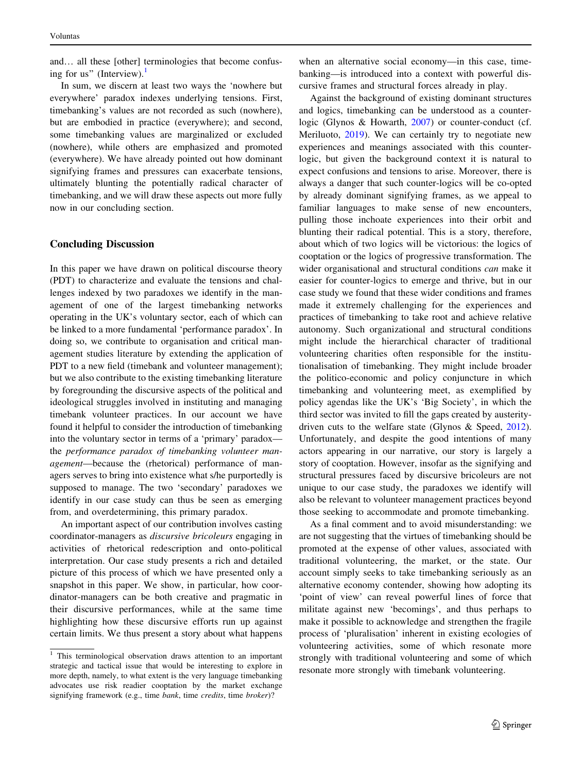and… all these [other] terminologies that become confusing for us" (Interview). $<sup>1</sup>$ </sup>

In sum, we discern at least two ways the 'nowhere but everywhere' paradox indexes underlying tensions. First, timebanking's values are not recorded as such (nowhere), but are embodied in practice (everywhere); and second, some timebanking values are marginalized or excluded (nowhere), while others are emphasized and promoted (everywhere). We have already pointed out how dominant signifying frames and pressures can exacerbate tensions, ultimately blunting the potentially radical character of timebanking, and we will draw these aspects out more fully now in our concluding section.

## Concluding Discussion

In this paper we have drawn on political discourse theory (PDT) to characterize and evaluate the tensions and challenges indexed by two paradoxes we identify in the management of one of the largest timebanking networks operating in the UK's voluntary sector, each of which can be linked to a more fundamental 'performance paradox'. In doing so, we contribute to organisation and critical management studies literature by extending the application of PDT to a new field (timebank and volunteer management); but we also contribute to the existing timebanking literature by foregrounding the discursive aspects of the political and ideological struggles involved in instituting and managing timebank volunteer practices. In our account we have found it helpful to consider the introduction of timebanking into the voluntary sector in terms of a 'primary' paradox the performance paradox of timebanking volunteer management—because the (rhetorical) performance of managers serves to bring into existence what s/he purportedly is supposed to manage. The two 'secondary' paradoxes we identify in our case study can thus be seen as emerging from, and overdetermining, this primary paradox.

An important aspect of our contribution involves casting coordinator-managers as discursive bricoleurs engaging in activities of rhetorical redescription and onto-political interpretation. Our case study presents a rich and detailed picture of this process of which we have presented only a snapshot in this paper. We show, in particular, how coordinator-managers can be both creative and pragmatic in their discursive performances, while at the same time highlighting how these discursive efforts run up against certain limits. We thus present a story about what happens

when an alternative social economy—in this case, timebanking—is introduced into a context with powerful discursive frames and structural forces already in play.

Against the background of existing dominant structures and logics, timebanking can be understood as a counterlogic (Glynos & Howarth, [2007\)](#page-9-0) or counter-conduct (cf. Meriluoto, [2019\)](#page-9-0). We can certainly try to negotiate new experiences and meanings associated with this counterlogic, but given the background context it is natural to expect confusions and tensions to arise. Moreover, there is always a danger that such counter-logics will be co-opted by already dominant signifying frames, as we appeal to familiar languages to make sense of new encounters, pulling those inchoate experiences into their orbit and blunting their radical potential. This is a story, therefore, about which of two logics will be victorious: the logics of cooptation or the logics of progressive transformation. The wider organisational and structural conditions *can* make it easier for counter-logics to emerge and thrive, but in our case study we found that these wider conditions and frames made it extremely challenging for the experiences and practices of timebanking to take root and achieve relative autonomy. Such organizational and structural conditions might include the hierarchical character of traditional volunteering charities often responsible for the institutionalisation of timebanking. They might include broader the politico-economic and policy conjuncture in which timebanking and volunteering meet, as exemplified by policy agendas like the UK's 'Big Society', in which the third sector was invited to fill the gaps created by austeritydriven cuts to the welfare state (Glynos & Speed, [2012](#page-9-0)). Unfortunately, and despite the good intentions of many actors appearing in our narrative, our story is largely a story of cooptation. However, insofar as the signifying and structural pressures faced by discursive bricoleurs are not unique to our case study, the paradoxes we identify will also be relevant to volunteer management practices beyond those seeking to accommodate and promote timebanking.

As a final comment and to avoid misunderstanding: we are not suggesting that the virtues of timebanking should be promoted at the expense of other values, associated with traditional volunteering, the market, or the state. Our account simply seeks to take timebanking seriously as an alternative economy contender, showing how adopting its 'point of view' can reveal powerful lines of force that militate against new 'becomings', and thus perhaps to make it possible to acknowledge and strengthen the fragile process of 'pluralisation' inherent in existing ecologies of volunteering activities, some of which resonate more strongly with traditional volunteering and some of which resonate more strongly with timebank volunteering.

<sup>&</sup>lt;sup>1</sup> This terminological observation draws attention to an important strategic and tactical issue that would be interesting to explore in more depth, namely, to what extent is the very language timebanking advocates use risk readier cooptation by the market exchange signifying framework (e.g., time *bank*, time *credits*, time *broker*)?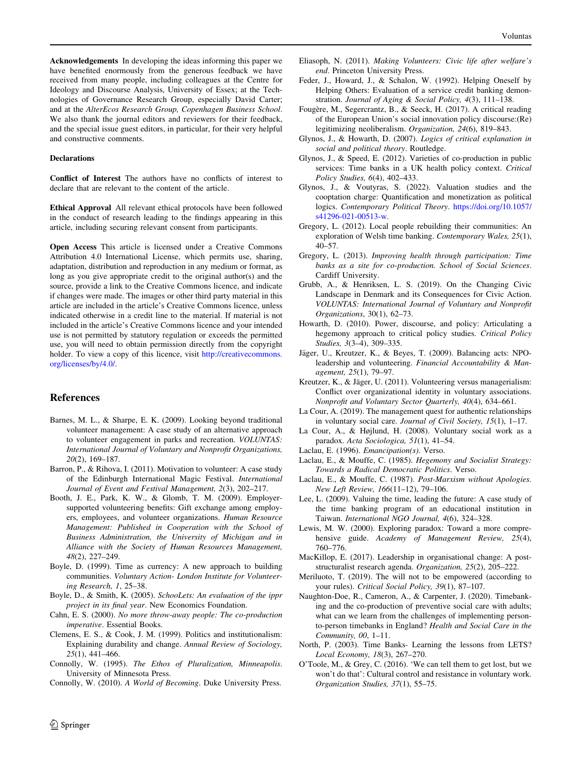<span id="page-9-0"></span>Acknowledgements In developing the ideas informing this paper we have benefited enormously from the generous feedback we have received from many people, including colleagues at the Centre for Ideology and Discourse Analysis, University of Essex; at the Technologies of Governance Research Group, especially David Carter; and at the AlterEcos Research Group, Copenhagen Business School. We also thank the journal editors and reviewers for their feedback, and the special issue guest editors, in particular, for their very helpful and constructive comments.

#### **Declarations**

Conflict of Interest The authors have no conflicts of interest to declare that are relevant to the content of the article.

Ethical Approval All relevant ethical protocols have been followed in the conduct of research leading to the findings appearing in this article, including securing relevant consent from participants.

Open Access This article is licensed under a Creative Commons Attribution 4.0 International License, which permits use, sharing, adaptation, distribution and reproduction in any medium or format, as long as you give appropriate credit to the original author(s) and the source, provide a link to the Creative Commons licence, and indicate if changes were made. The images or other third party material in this article are included in the article's Creative Commons licence, unless indicated otherwise in a credit line to the material. If material is not included in the article's Creative Commons licence and your intended use is not permitted by statutory regulation or exceeds the permitted use, you will need to obtain permission directly from the copyright holder. To view a copy of this licence, visit [http://creativecommons.](http://creativecommons.org/licenses/by/4.0/) [org/licenses/by/4.0/.](http://creativecommons.org/licenses/by/4.0/)

#### References

- Barnes, M. L., & Sharpe, E. K. (2009). Looking beyond traditional volunteer management: A case study of an alternative approach to volunteer engagement in parks and recreation. VOLUNTAS: International Journal of Voluntary and Nonprofit Organizations, 20(2), 169–187.
- Barron, P., & Rihova, I. (2011). Motivation to volunteer: A case study of the Edinburgh International Magic Festival. International Journal of Event and Festival Management, 2(3), 202–217.
- Booth, J. E., Park, K. W., & Glomb, T. M. (2009). Employersupported volunteering benefits: Gift exchange among employers, employees, and volunteer organizations. Human Resource Management: Published in Cooperation with the School of Business Administration, the University of Michigan and in Alliance with the Society of Human Resources Management, 48(2), 227–249.
- Boyle, D. (1999). Time as currency: A new approach to building communities. Voluntary Action- London Institute for Volunteering Research, 1, 25–38.
- Boyle, D., & Smith, K. (2005). SchooLets: An evaluation of the ippr project in its final year. New Economics Foundation.
- Cahn, E. S. (2000). No more throw-away people: The co-production imperative. Essential Books.
- Clemens, E. S., & Cook, J. M. (1999). Politics and institutionalism: Explaining durability and change. Annual Review of Sociology, 25(1), 441–466.
- Connolly, W. (1995). The Ethos of Pluralization, Minneapolis. University of Minnesota Press.
- Connolly, W. (2010). A World of Becoming. Duke University Press.
- Eliasoph, N. (2011). Making Volunteers: Civic life after welfare's end. Princeton University Press.
- Feder, J., Howard, J., & Schalon, W. (1992). Helping Oneself by Helping Others: Evaluation of a service credit banking demonstration. Journal of Aging & Social Policy, 4(3), 111–138.
- Fougère, M., Segercrantz, B., & Seeck, H. (2017). A critical reading of the European Union's social innovation policy discourse:(Re) legitimizing neoliberalism. Organization, 24(6), 819–843.
- Glynos, J., & Howarth, D. (2007). Logics of critical explanation in social and political theory. Routledge.
- Glynos, J., & Speed, E. (2012). Varieties of co-production in public services: Time banks in a UK health policy context. Critical Policy Studies, 6(4), 402–433.
- Glynos, J., & Voutyras, S. (2022). Valuation studies and the cooptation charge: Quantification and monetization as political logics. Contemporary Political Theory. [https://doi.org/10.1057/](https://doi.org/10.1057/s41296-021-00513-w) [s41296-021-00513-w.](https://doi.org/10.1057/s41296-021-00513-w)
- Gregory, L. (2012). Local people rebuilding their communities: An exploration of Welsh time banking. Contemporary Wales, 25(1), 40–57.
- Gregory, L. (2013). Improving health through participation: Time banks as a site for co-production. School of Social Sciences. Cardiff University.
- Grubb, A., & Henriksen, L. S. (2019). On the Changing Civic Landscape in Denmark and its Consequences for Civic Action. VOLUNTAS: International Journal of Voluntary and Nonprofit Organizations, 30(1), 62–73.
- Howarth, D. (2010). Power, discourse, and policy: Articulating a hegemony approach to critical policy studies. Critical Policy Studies, 3(3–4), 309–335.
- Jäger, U., Kreutzer, K., & Beyes, T. (2009). Balancing acts: NPOleadership and volunteering. Financial Accountability & Management, 25(1), 79–97.
- Kreutzer, K., & Jäger, U. (2011). Volunteering versus managerialism: Conflict over organizational identity in voluntary associations. Nonprofit and Voluntary Sector Quarterly, 40(4), 634–661.
- La Cour, A. (2019). The management quest for authentic relationships in voluntary social care. Journal of Civil Society, 15(1), 1–17.
- La Cour, A., & Højlund, H. (2008). Voluntary social work as a paradox. Acta Sociologica, 51(1), 41–54.
- Laclau, E. (1996). *Emancipation(s)*. Verso.
- Laclau, E., & Mouffe, C. (1985). Hegemony and Socialist Strategy: Towards a Radical Democratic Politics. Verso.
- Laclau, E., & Mouffe, C. (1987). Post-Marxism without Apologies. New Left Review, 166(11–12), 79–106.
- Lee, L. (2009). Valuing the time, leading the future: A case study of the time banking program of an educational institution in Taiwan. International NGO Journal, 4(6), 324–328.
- Lewis, M. W. (2000). Exploring paradox: Toward a more comprehensive guide. Academy of Management Review, 25(4), 760–776.
- MacKillop, E. (2017). Leadership in organisational change: A poststructuralist research agenda. Organization, 25(2), 205–222.
- Meriluoto, T. (2019). The will not to be empowered (according to your rules). Critical Social Policy, 39(1), 87-107.
- Naughton-Doe, R., Cameron, A., & Carpenter, J. (2020). Timebanking and the co-production of preventive social care with adults; what can we learn from the challenges of implementing personto-person timebanks in England? Health and Social Care in the Community, 00, 1–11.
- North, P. (2003). Time Banks- Learning the lessons from LETS? Local Economy, 18(3), 267–270.
- O'Toole, M., & Grey, C. (2016). 'We can tell them to get lost, but we won't do that': Cultural control and resistance in voluntary work. Organization Studies, 37(1), 55–75.